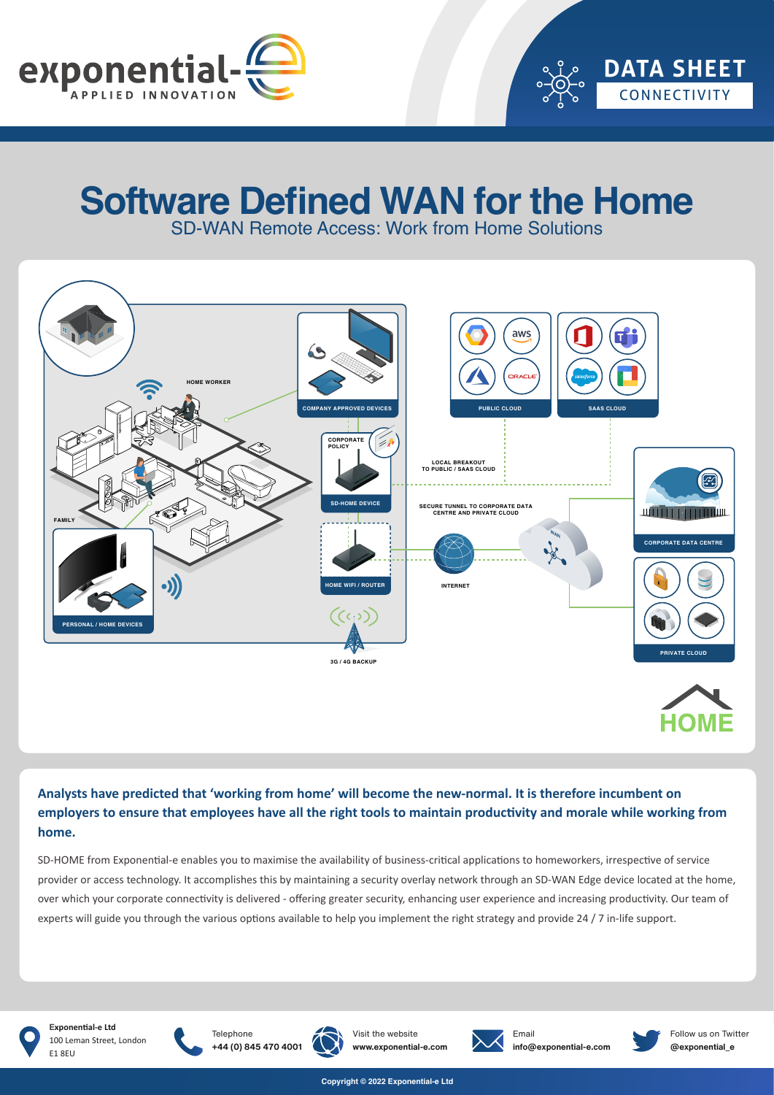

# **Software Defined WAN for the Home**

SD-WAN Remote Access: Work from Home Solutions



## **Analysts have predicted that 'working from home' will become the new-normal. It is therefore incumbent on employers to ensure that employees have all the right tools to maintain productivity and morale while working from home.**

SD-HOME from Exponential-e enables you to maximise the availability of business-critical applications to homeworkers, irrespective of service provider or access technology. It accomplishes this by maintaining a security overlay network through an SD-WAN Edge device located at the home, over which your corporate connectivity is delivered - offering greater security, enhancing user experience and increasing productivity. Our team of experts will guide you through the various options available to help you implement the right strategy and provide 24 / 7 in-life support.

![](_page_0_Picture_7.jpeg)

**Exponential-e Ltd** 100 Leman Street, London E1 8EU

![](_page_0_Picture_9.jpeg)

**Telephone** 

![](_page_0_Picture_10.jpeg)

![](_page_0_Picture_11.jpeg)

![](_page_0_Picture_12.jpeg)

Email **info@exponential-e.com**

![](_page_0_Picture_14.jpeg)

Follow us on Twitter **@exponential\_e**